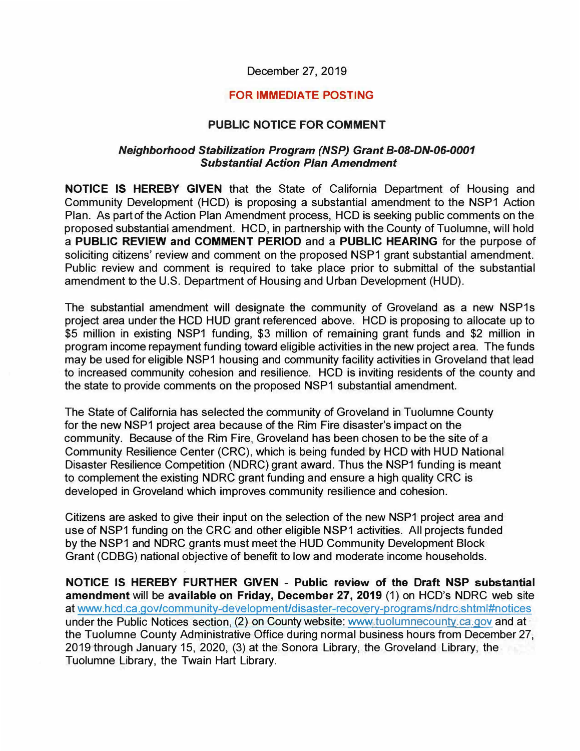## December 27, 2019

## **FOR IMMEDIATE POSTING**

## **PUBLIC NOTICE FOR COMMENT**

## *Neighborhood Stabilization Program (NSP) Grant B-08-DN-06-0001 Substantial Action Plan Amendment*

**NOTICE IS HEREBY GIVEN** that the State of California Department of Housing and Community Development (HCD) is proposing a substantial amendment to the NSP1 Action Plan. As part of the Action Plan Amendment process, HCD is seeking public comments on the proposed substantial amendment. HCD, in partnership with the County of Tuolumne, will hold a **PUBLIC REVIEW and COMMENT PERIOD** and a **PUBLIC HEARING** for the purpose of soliciting citizens' review and comment on the proposed NSP1 grant substantial amendment. Public review and comment is required to take place prior to submittal of the substantial amendment to the U.S. Department of Housing and Urban Development (HUD).

The substantial amendment will designate the community of Groveland as a new NSP1s project area under the HCD HUD grant referenced above. HCD is proposing to allocate up to \$5 million in existing NSP1 funding, \$3 million of remaining grant funds and \$2 million in program income repayment funding toward eligible activities in the new project area. The funds may be used for eligible NSP1 housing and community facility activities in Groveland that lead to increased community cohesion and resilience. HCD is inviting residents of the county and the state to provide comments on the proposed NSP1 substantial amendment.

The State of California has selected the community of Groveland in Tuolumne County for the new NSP1 project area because of the Rim Fire disaster's impact on the community. Because of the Rim Fire, Groveland has been chosen to be the site of a Community Resilience Center (CRC), which is being funded by HCD with HUD National Disaster Resilience Competition (NDRC) grant award. Thus the NSP1 funding is meant to complement the existing NDRC grant funding and ensure a high quality CRC is developed in Groveland which improves community resilience and cohesion.

Citizens are asked to give their input on the selection of the new NSP1 project area and use of NSP1 funding on the CRC and other eligible NSP1 activities. AII projects funded by the NSP1 and NDRC grants must meet the HUD Community Development Block Grant (CDBG) national objective of benefit to low and moderate income households.

**NOTICE IS HEREBY FURTHER GIVEN** - **Public review of the Draft NSP substantial amendment** will be **available on Friday, December 27, 2019** (1) on HCD's NDRC web site at [www.hcd.ca.gov/community-development/disaster-recovery-programs/ndrc.shtml](https://www.hcd.ca.gov/community-development/disaster-recovery-programs.shtml)#notices under the Public Notices section, (2) on County website: <www.tuolumnecounty.ca.gov> and at the Tuolumne County Administrative Office during normal business hours from December 27, 2019 through January 15, 2020, (3) at the Sonora Library, the Groveland Library, the Tuolumne Library, the Twain Hart Library.